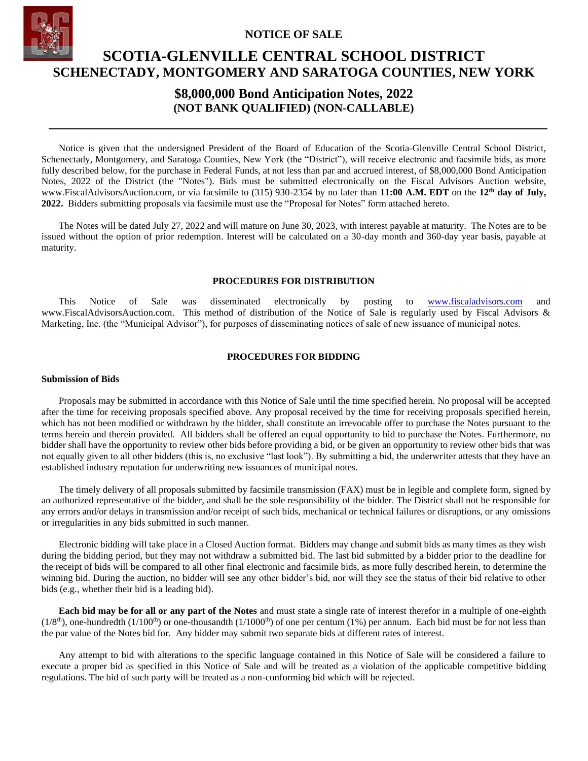**NOTICE OF SALE**

# **SCOTIA-GLENVILLE CENTRAL SCHOOL DISTRICT SCHENECTADY, MONTGOMERY AND SARATOGA COUNTIES, NEW YORK**

# **\$8,000,000 Bond Anticipation Notes, 2022 (NOT BANK QUALIFIED) (NON-CALLABLE)**

Notice is given that the undersigned President of the Board of Education of the Scotia-Glenville Central School District, Schenectady, Montgomery, and Saratoga Counties, New York (the "District"), will receive electronic and facsimile bids, as more fully described below, for the purchase in Federal Funds, at not less than par and accrued interest, of \$8,000,000 Bond Anticipation Notes, 2022 of the District (the "Notes"). Bids must be submitted electronically on the Fiscal Advisors Auction website, www.FiscalAdvisorsAuction.com, or via facsimile to (315) 930-2354 by no later than **11:00 A.M. EDT** on the **12th day of July, 2022.** Bidders submitting proposals via facsimile must use the "Proposal for Notes" form attached hereto.

The Notes will be dated July 27, 2022 and will mature on June 30, 2023, with interest payable at maturity. The Notes are to be issued without the option of prior redemption. Interest will be calculated on a 30-day month and 360-day year basis, payable at maturity.

# **PROCEDURES FOR DISTRIBUTION**

This Notice of Sale was disseminated electronically by posting to [www.fiscaladvisors.com](http://www.fiscaladvisors.com/) and www.FiscalAdvisorsAuction.com. This method of distribution of the Notice of Sale is regularly used by Fiscal Advisors & Marketing, Inc. (the "Municipal Advisor"), for purposes of disseminating notices of sale of new issuance of municipal notes.

# **PROCEDURES FOR BIDDING**

# **Submission of Bids**

Proposals may be submitted in accordance with this Notice of Sale until the time specified herein. No proposal will be accepted after the time for receiving proposals specified above. Any proposal received by the time for receiving proposals specified herein, which has not been modified or withdrawn by the bidder, shall constitute an irrevocable offer to purchase the Notes pursuant to the terms herein and therein provided. All bidders shall be offered an equal opportunity to bid to purchase the Notes. Furthermore, no bidder shall have the opportunity to review other bids before providing a bid, or be given an opportunity to review other bids that was not equally given to all other bidders (this is, no exclusive "last look"). By submitting a bid, the underwriter attests that they have an established industry reputation for underwriting new issuances of municipal notes.

The timely delivery of all proposals submitted by facsimile transmission (FAX) must be in legible and complete form, signed by an authorized representative of the bidder, and shall be the sole responsibility of the bidder. The District shall not be responsible for any errors and/or delays in transmission and/or receipt of such bids, mechanical or technical failures or disruptions, or any omissions or irregularities in any bids submitted in such manner.

Electronic bidding will take place in a Closed Auction format. Bidders may change and submit bids as many times as they wish during the bidding period, but they may not withdraw a submitted bid. The last bid submitted by a bidder prior to the deadline for the receipt of bids will be compared to all other final electronic and facsimile bids, as more fully described herein, to determine the winning bid. During the auction, no bidder will see any other bidder's bid, nor will they see the status of their bid relative to other bids (e.g., whether their bid is a leading bid).

**Each bid may be for all or any part of the Notes** and must state a single rate of interest therefor in a multiple of one-eighth  $(1/8<sup>th</sup>)$ , one-hundredth  $(1/100<sup>th</sup>)$  or one-thousandth  $(1/1000<sup>th</sup>)$  of one per centum (1%) per annum. Each bid must be for not less than the par value of the Notes bid for. Any bidder may submit two separate bids at different rates of interest.

Any attempt to bid with alterations to the specific language contained in this Notice of Sale will be considered a failure to execute a proper bid as specified in this Notice of Sale and will be treated as a violation of the applicable competitive bidding regulations. The bid of such party will be treated as a non-conforming bid which will be rejected.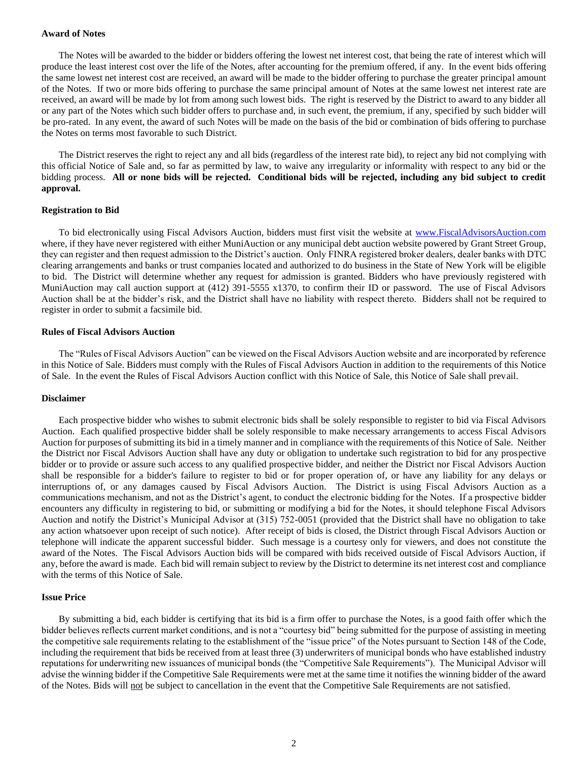#### **Award of Notes**

The Notes will be awarded to the bidder or bidders offering the lowest net interest cost, that being the rate of interest which will produce the least interest cost over the life of the Notes, after accounting for the premium offered, if any. In the event bids offering the same lowest net interest cost are received, an award will be made to the bidder offering to purchase the greater principal amount of the Notes. If two or more bids offering to purchase the same principal amount of Notes at the same lowest net interest rate are received, an award will be made by lot from among such lowest bids. The right is reserved by the District to award to any bidder all or any part of the Notes which such bidder offers to purchase and, in such event, the premium, if any, specified by such bidder will be pro-rated. In any event, the award of such Notes will be made on the basis of the bid or combination of bids offering to purchase the Notes on terms most favorable to such District.

The District reserves the right to reject any and all bids (regardless of the interest rate bid), to reject any bid not complying with this official Notice of Sale and, so far as permitted by law, to waive any irregularity or informality with respect to any bid or the bidding process. **All or none bids will be rejected. Conditional bids will be rejected, including any bid subject to credit approval.**

#### **Registration to Bid**

To bid electronically using Fiscal Advisors Auction, bidders must first visit the website at [www.FiscalAdvisorsAuction.com](http://www.fiscaladvisorsauction.com/) where, if they have never registered with either MuniAuction or any municipal debt auction website powered by Grant Street Group, they can register and then request admission to the District's auction. Only FINRA registered broker dealers, dealer banks with DTC clearing arrangements and banks or trust companies located and authorized to do business in the State of New York will be eligible to bid. The District will determine whether any request for admission is granted. Bidders who have previously registered with MuniAuction may call auction support at (412) 391-5555 x1370, to confirm their ID or password. The use of Fiscal Advisors Auction shall be at the bidder's risk, and the District shall have no liability with respect thereto. Bidders shall not be required to register in order to submit a facsimile bid.

#### **Rules of Fiscal Advisors Auction**

The "Rules of Fiscal Advisors Auction" can be viewed on the Fiscal Advisors Auction website and are incorporated by reference in this Notice of Sale. Bidders must comply with the Rules of Fiscal Advisors Auction in addition to the requirements of this Notice of Sale. In the event the Rules of Fiscal Advisors Auction conflict with this Notice of Sale, this Notice of Sale shall prevail.

#### **Disclaimer**

Each prospective bidder who wishes to submit electronic bids shall be solely responsible to register to bid via Fiscal Advisors Auction. Each qualified prospective bidder shall be solely responsible to make necessary arrangements to access Fiscal Advisors Auction for purposes of submitting its bid in a timely manner and in compliance with the requirements of this Notice of Sale. Neither the District nor Fiscal Advisors Auction shall have any duty or obligation to undertake such registration to bid for any prospective bidder or to provide or assure such access to any qualified prospective bidder, and neither the District nor Fiscal Advisors Auction shall be responsible for a bidder's failure to register to bid or for proper operation of, or have any liability for any delays or interruptions of, or any damages caused by Fiscal Advisors Auction. The District is using Fiscal Advisors Auction as a communications mechanism, and not as the District's agent, to conduct the electronic bidding for the Notes. If a prospective bidder encounters any difficulty in registering to bid, or submitting or modifying a bid for the Notes, it should telephone Fiscal Advisors Auction and notify the District's Municipal Advisor at (315) 752-0051 (provided that the District shall have no obligation to take any action whatsoever upon receipt of such notice). After receipt of bids is closed, the District through Fiscal Advisors Auction or telephone will indicate the apparent successful bidder. Such message is a courtesy only for viewers, and does not constitute the award of the Notes. The Fiscal Advisors Auction bids will be compared with bids received outside of Fiscal Advisors Auction, if any, before the award is made. Each bid will remain subject to review by the District to determine its net interest cost and compliance with the terms of this Notice of Sale.

# **Issue Price**

By submitting a bid, each bidder is certifying that its bid is a firm offer to purchase the Notes, is a good faith offer which the bidder believes reflects current market conditions, and is not a "courtesy bid" being submitted for the purpose of assisting in meeting the competitive sale requirements relating to the establishment of the "issue price" of the Notes pursuant to Section 148 of the Code, including the requirement that bids be received from at least three (3) underwriters of municipal bonds who have established industry reputations for underwriting new issuances of municipal bonds (the "Competitive Sale Requirements"). The Municipal Advisor will advise the winning bidder if the Competitive Sale Requirements were met at the same time it notifies the winning bidder of the award of the Notes. Bids will not be subject to cancellation in the event that the Competitive Sale Requirements are not satisfied.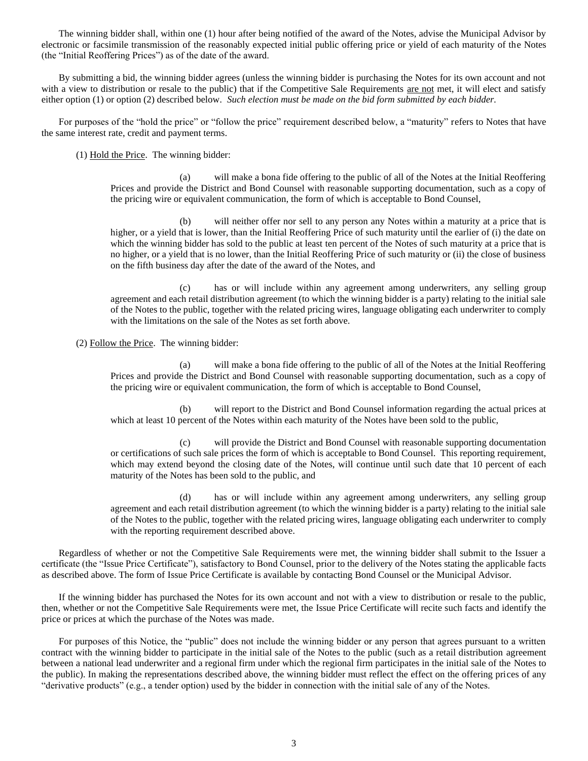The winning bidder shall, within one (1) hour after being notified of the award of the Notes, advise the Municipal Advisor by electronic or facsimile transmission of the reasonably expected initial public offering price or yield of each maturity of the Notes (the "Initial Reoffering Prices") as of the date of the award.

By submitting a bid, the winning bidder agrees (unless the winning bidder is purchasing the Notes for its own account and not with a view to distribution or resale to the public) that if the Competitive Sale Requirements are not met, it will elect and satisfy either option (1) or option (2) described below. *Such election must be made on the bid form submitted by each bidder.* 

For purposes of the "hold the price" or "follow the price" requirement described below, a "maturity" refers to Notes that have the same interest rate, credit and payment terms.

(1) Hold the Price. The winning bidder:

(a) will make a bona fide offering to the public of all of the Notes at the Initial Reoffering Prices and provide the District and Bond Counsel with reasonable supporting documentation, such as a copy of the pricing wire or equivalent communication, the form of which is acceptable to Bond Counsel,

(b) will neither offer nor sell to any person any Notes within a maturity at a price that is higher, or a yield that is lower, than the Initial Reoffering Price of such maturity until the earlier of (i) the date on which the winning bidder has sold to the public at least ten percent of the Notes of such maturity at a price that is no higher, or a yield that is no lower, than the Initial Reoffering Price of such maturity or (ii) the close of business on the fifth business day after the date of the award of the Notes, and

(c) has or will include within any agreement among underwriters, any selling group agreement and each retail distribution agreement (to which the winning bidder is a party) relating to the initial sale of the Notes to the public, together with the related pricing wires, language obligating each underwriter to comply with the limitations on the sale of the Notes as set forth above.

(2) Follow the Price. The winning bidder:

(a) will make a bona fide offering to the public of all of the Notes at the Initial Reoffering Prices and provide the District and Bond Counsel with reasonable supporting documentation, such as a copy of the pricing wire or equivalent communication, the form of which is acceptable to Bond Counsel,

(b) will report to the District and Bond Counsel information regarding the actual prices at which at least 10 percent of the Notes within each maturity of the Notes have been sold to the public,

(c) will provide the District and Bond Counsel with reasonable supporting documentation or certifications of such sale prices the form of which is acceptable to Bond Counsel. This reporting requirement, which may extend beyond the closing date of the Notes, will continue until such date that 10 percent of each maturity of the Notes has been sold to the public, and

(d) has or will include within any agreement among underwriters, any selling group agreement and each retail distribution agreement (to which the winning bidder is a party) relating to the initial sale of the Notes to the public, together with the related pricing wires, language obligating each underwriter to comply with the reporting requirement described above.

Regardless of whether or not the Competitive Sale Requirements were met, the winning bidder shall submit to the Issuer a certificate (the "Issue Price Certificate"), satisfactory to Bond Counsel, prior to the delivery of the Notes stating the applicable facts as described above. The form of Issue Price Certificate is available by contacting Bond Counsel or the Municipal Advisor.

If the winning bidder has purchased the Notes for its own account and not with a view to distribution or resale to the public, then, whether or not the Competitive Sale Requirements were met, the Issue Price Certificate will recite such facts and identify the price or prices at which the purchase of the Notes was made.

For purposes of this Notice, the "public" does not include the winning bidder or any person that agrees pursuant to a written contract with the winning bidder to participate in the initial sale of the Notes to the public (such as a retail distribution agreement between a national lead underwriter and a regional firm under which the regional firm participates in the initial sale of the Notes to the public). In making the representations described above, the winning bidder must reflect the effect on the offering prices of any "derivative products" (e.g., a tender option) used by the bidder in connection with the initial sale of any of the Notes.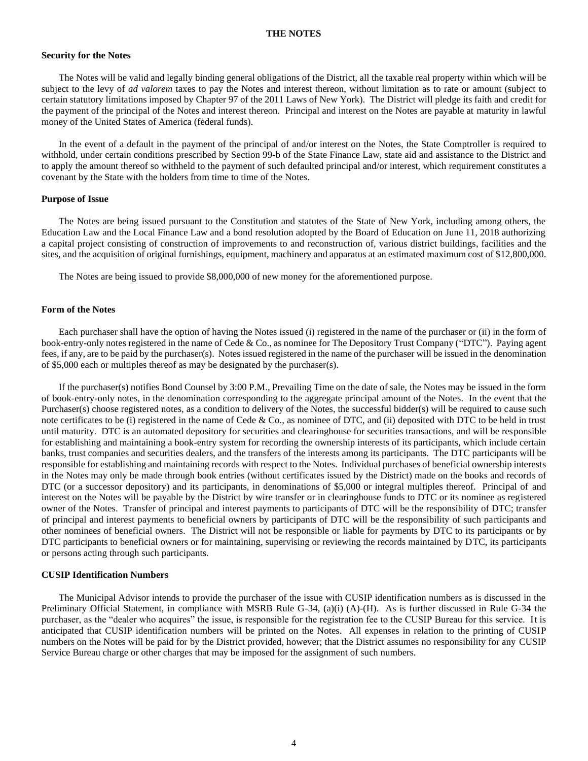#### **THE NOTES**

#### **Security for the Notes**

The Notes will be valid and legally binding general obligations of the District, all the taxable real property within which will be subject to the levy of *ad valorem* taxes to pay the Notes and interest thereon, without limitation as to rate or amount (subject to certain statutory limitations imposed by Chapter 97 of the 2011 Laws of New York). The District will pledge its faith and credit for the payment of the principal of the Notes and interest thereon. Principal and interest on the Notes are payable at maturity in lawful money of the United States of America (federal funds).

In the event of a default in the payment of the principal of and/or interest on the Notes, the State Comptroller is required to withhold, under certain conditions prescribed by Section 99-b of the State Finance Law, state aid and assistance to the District and to apply the amount thereof so withheld to the payment of such defaulted principal and/or interest, which requirement constitutes a covenant by the State with the holders from time to time of the Notes.

#### **Purpose of Issue**

The Notes are being issued pursuant to the Constitution and statutes of the State of New York, including among others, the Education Law and the Local Finance Law and a bond resolution adopted by the Board of Education on June 11, 2018 authorizing a capital project consisting of construction of improvements to and reconstruction of, various district buildings, facilities and the sites, and the acquisition of original furnishings, equipment, machinery and apparatus at an estimated maximum cost of \$12,800,000.

The Notes are being issued to provide \$8,000,000 of new money for the aforementioned purpose.

#### **Form of the Notes**

Each purchaser shall have the option of having the Notes issued (i) registered in the name of the purchaser or (ii) in the form of book-entry-only notes registered in the name of Cede & Co., as nominee for The Depository Trust Company ("DTC"). Paying agent fees, if any, are to be paid by the purchaser(s). Notes issued registered in the name of the purchaser will be issued in the denomination of \$5,000 each or multiples thereof as may be designated by the purchaser(s).

If the purchaser(s) notifies Bond Counsel by 3:00 P.M., Prevailing Time on the date of sale, the Notes may be issued in the form of book-entry-only notes, in the denomination corresponding to the aggregate principal amount of the Notes. In the event that the Purchaser(s) choose registered notes, as a condition to delivery of the Notes, the successful bidder(s) will be required to cause such note certificates to be (i) registered in the name of Cede & Co., as nominee of DTC, and (ii) deposited with DTC to be held in trust until maturity. DTC is an automated depository for securities and clearinghouse for securities transactions, and will be responsible for establishing and maintaining a book-entry system for recording the ownership interests of its participants, which include certain banks, trust companies and securities dealers, and the transfers of the interests among its participants. The DTC participants will be responsible for establishing and maintaining records with respect to the Notes. Individual purchases of beneficial ownership interests in the Notes may only be made through book entries (without certificates issued by the District) made on the books and records of DTC (or a successor depository) and its participants, in denominations of \$5,000 or integral multiples thereof. Principal of and interest on the Notes will be payable by the District by wire transfer or in clearinghouse funds to DTC or its nominee as registered owner of the Notes. Transfer of principal and interest payments to participants of DTC will be the responsibility of DTC; transfer of principal and interest payments to beneficial owners by participants of DTC will be the responsibility of such participants and other nominees of beneficial owners. The District will not be responsible or liable for payments by DTC to its participants or by DTC participants to beneficial owners or for maintaining, supervising or reviewing the records maintained by DTC, its participants or persons acting through such participants.

#### **CUSIP Identification Numbers**

The Municipal Advisor intends to provide the purchaser of the issue with CUSIP identification numbers as is discussed in the Preliminary Official Statement, in compliance with MSRB Rule G-34, (a)(i) (A)-(H). As is further discussed in Rule G-34 the purchaser, as the "dealer who acquires" the issue, is responsible for the registration fee to the CUSIP Bureau for this service. It is anticipated that CUSIP identification numbers will be printed on the Notes. All expenses in relation to the printing of CUSIP numbers on the Notes will be paid for by the District provided, however; that the District assumes no responsibility for any CUSIP Service Bureau charge or other charges that may be imposed for the assignment of such numbers.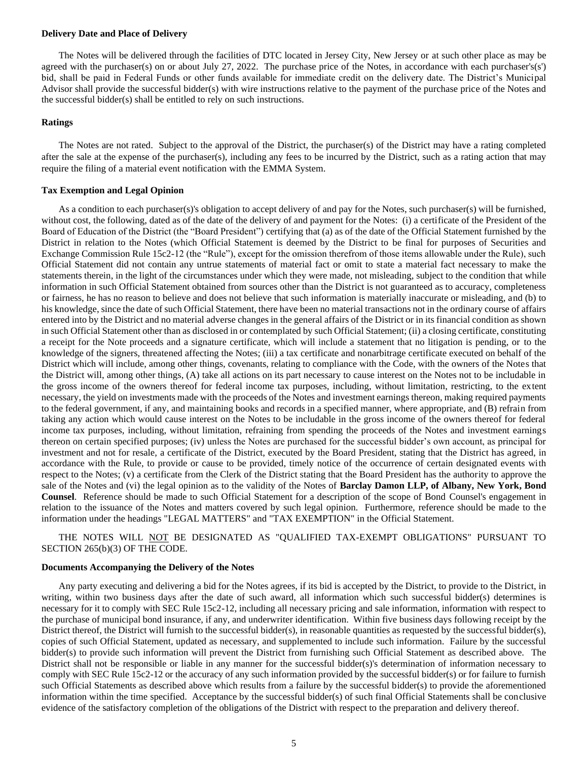#### **Delivery Date and Place of Delivery**

The Notes will be delivered through the facilities of DTC located in Jersey City, New Jersey or at such other place as may be agreed with the purchaser(s) on or about July 27, 2022. The purchase price of the Notes, in accordance with each purchaser's(s') bid, shall be paid in Federal Funds or other funds available for immediate credit on the delivery date. The District's Municipal Advisor shall provide the successful bidder(s) with wire instructions relative to the payment of the purchase price of the Notes and the successful bidder(s) shall be entitled to rely on such instructions.

### **Ratings**

The Notes are not rated. Subject to the approval of the District, the purchaser(s) of the District may have a rating completed after the sale at the expense of the purchaser(s), including any fees to be incurred by the District, such as a rating action that may require the filing of a material event notification with the EMMA System.

# **Tax Exemption and Legal Opinion**

As a condition to each purchaser(s)'s obligation to accept delivery of and pay for the Notes, such purchaser(s) will be furnished, without cost, the following, dated as of the date of the delivery of and payment for the Notes: (i) a certificate of the President of the Board of Education of the District (the "Board President") certifying that (a) as of the date of the Official Statement furnished by the District in relation to the Notes (which Official Statement is deemed by the District to be final for purposes of Securities and Exchange Commission Rule 15c2-12 (the "Rule"), except for the omission therefrom of those items allowable under the Rule), such Official Statement did not contain any untrue statements of material fact or omit to state a material fact necessary to make the statements therein, in the light of the circumstances under which they were made, not misleading, subject to the condition that while information in such Official Statement obtained from sources other than the District is not guaranteed as to accuracy, completeness or fairness, he has no reason to believe and does not believe that such information is materially inaccurate or misleading, and (b) to his knowledge, since the date of such Official Statement, there have been no material transactions not in the ordinary course of affairs entered into by the District and no material adverse changes in the general affairs of the District or in its financial condition as shown in such Official Statement other than as disclosed in or contemplated by such Official Statement; (ii) a closing certificate, constituting a receipt for the Note proceeds and a signature certificate, which will include a statement that no litigation is pending, or to the knowledge of the signers, threatened affecting the Notes; (iii) a tax certificate and nonarbitrage certificate executed on behalf of the District which will include, among other things, covenants, relating to compliance with the Code, with the owners of the Notes that the District will, among other things, (A) take all actions on its part necessary to cause interest on the Notes not to be includable in the gross income of the owners thereof for federal income tax purposes, including, without limitation, restricting, to the extent necessary, the yield on investments made with the proceeds of the Notes and investment earnings thereon, making required payments to the federal government, if any, and maintaining books and records in a specified manner, where appropriate, and (B) refrain from taking any action which would cause interest on the Notes to be includable in the gross income of the owners thereof for federal income tax purposes, including, without limitation, refraining from spending the proceeds of the Notes and investment earnings thereon on certain specified purposes; (iv) unless the Notes are purchased for the successful bidder's own account, as principal for investment and not for resale, a certificate of the District, executed by the Board President, stating that the District has agreed, in accordance with the Rule, to provide or cause to be provided, timely notice of the occurrence of certain designated events with respect to the Notes; (v) a certificate from the Clerk of the District stating that the Board President has the authority to approve the sale of the Notes and (vi) the legal opinion as to the validity of the Notes of **Barclay Damon LLP, of Albany, New York, Bond Counsel**. Reference should be made to such Official Statement for a description of the scope of Bond Counsel's engagement in relation to the issuance of the Notes and matters covered by such legal opinion. Furthermore, reference should be made to the information under the headings "LEGAL MATTERS" and "TAX EXEMPTION" in the Official Statement.

THE NOTES WILL NOT BE DESIGNATED AS "QUALIFIED TAX-EXEMPT OBLIGATIONS" PURSUANT TO SECTION 265(b)(3) OF THE CODE.

#### **Documents Accompanying the Delivery of the Notes**

Any party executing and delivering a bid for the Notes agrees, if its bid is accepted by the District, to provide to the District, in writing, within two business days after the date of such award, all information which such successful bidder(s) determines is necessary for it to comply with SEC Rule 15c2-12, including all necessary pricing and sale information, information with respect to the purchase of municipal bond insurance, if any, and underwriter identification. Within five business days following receipt by the District thereof, the District will furnish to the successful bidder(s), in reasonable quantities as requested by the successful bidder(s), copies of such Official Statement, updated as necessary, and supplemented to include such information. Failure by the successful bidder(s) to provide such information will prevent the District from furnishing such Official Statement as described above. The District shall not be responsible or liable in any manner for the successful bidder(s)'s determination of information necessary to comply with SEC Rule 15c2-12 or the accuracy of any such information provided by the successful bidder(s) or for failure to furnish such Official Statements as described above which results from a failure by the successful bidder(s) to provide the aforementioned information within the time specified. Acceptance by the successful bidder(s) of such final Official Statements shall be conclusive evidence of the satisfactory completion of the obligations of the District with respect to the preparation and delivery thereof.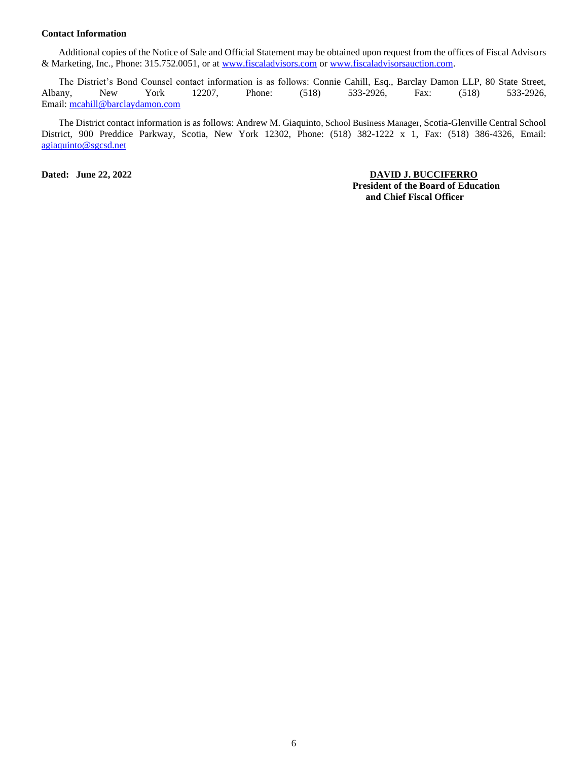# **Contact Information**

Additional copies of the Notice of Sale and Official Statement may be obtained upon request from the offices of Fiscal Advisors & Marketing, Inc., Phone: 315.752.0051, or at [www.fiscaladvisors.com](http://www.fiscaladvisors.com/) o[r www.fiscaladvisorsauction.com.](http://www.fiscaladvisorsauction.com/)

The District's Bond Counsel contact information is as follows: Connie Cahill, Esq., Barclay Damon LLP, 80 State Street, Albany, New York 12207, Phone: (518) 533-2926, Fax: (518) 533-2926, Email: [mcahill@barclaydamon.com](mailto:mcahill@barclaydamon.com)

The District contact information is as follows: Andrew M. Giaquinto, School Business Manager, Scotia-Glenville Central School District, 900 Preddice Parkway, Scotia, New York 12302, Phone: (518) 382-1222 x 1, Fax: (518) 386-4326, Email: [agiaquinto@sgcsd.net](mailto:agiaquinto@sgcsd.net)

**Dated: June 22, 2022 DAVID J. BUCCIFERRO President of the Board of Education and Chief Fiscal Officer**